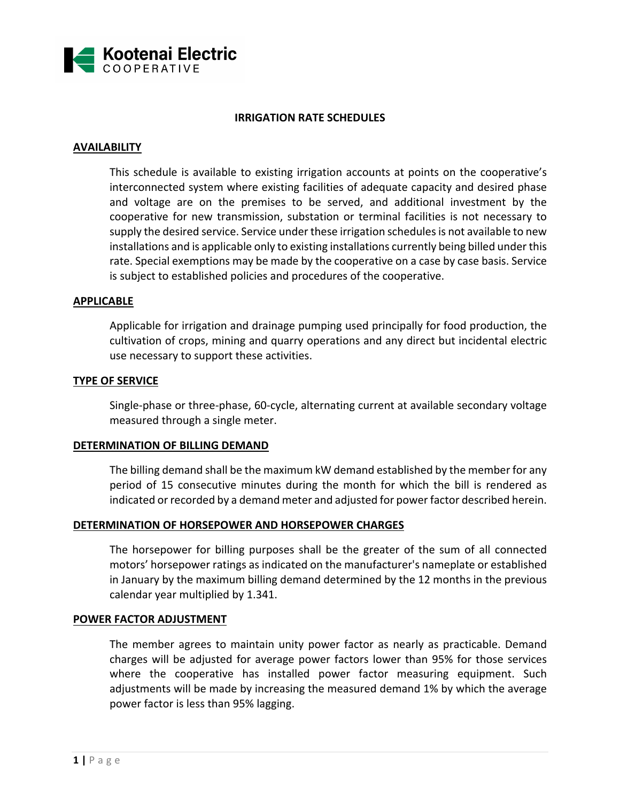

# **IRRIGATION RATE SCHEDULES**

# **AVAILABILITY**

This schedule is available to existing irrigation accounts at points on the cooperative's interconnected system where existing facilities of adequate capacity and desired phase and voltage are on the premises to be served, and additional investment by the cooperative for new transmission, substation or terminal facilities is not necessary to supply the desired service. Service under these irrigation schedules is not available to new installations and is applicable only to existing installations currently being billed under this rate. Special exemptions may be made by the cooperative on a case by case basis. Service is subject to established policies and procedures of the cooperative.

### **APPLICABLE**

Applicable for irrigation and drainage pumping used principally for food production, the cultivation of crops, mining and quarry operations and any direct but incidental electric use necessary to support these activities.

### **TYPE OF SERVICE**

Single-phase or three-phase, 60-cycle, alternating current at available secondary voltage measured through a single meter.

# **DETERMINATION OF BILLING DEMAND**

The billing demand shall be the maximum kW demand established by the member for any period of 15 consecutive minutes during the month for which the bill is rendered as indicated or recorded by a demand meter and adjusted for power factor described herein.

#### **DETERMINATION OF HORSEPOWER AND HORSEPOWER CHARGES**

The horsepower for billing purposes shall be the greater of the sum of all connected motors' horsepower ratings as indicated on the manufacturer's nameplate or established in January by the maximum billing demand determined by the 12 months in the previous calendar year multiplied by 1.341.

#### **POWER FACTOR ADJUSTMENT**

The member agrees to maintain unity power factor as nearly as practicable. Demand charges will be adjusted for average power factors lower than 95% for those services where the cooperative has installed power factor measuring equipment. Such adjustments will be made by increasing the measured demand 1% by which the average power factor is less than 95% lagging.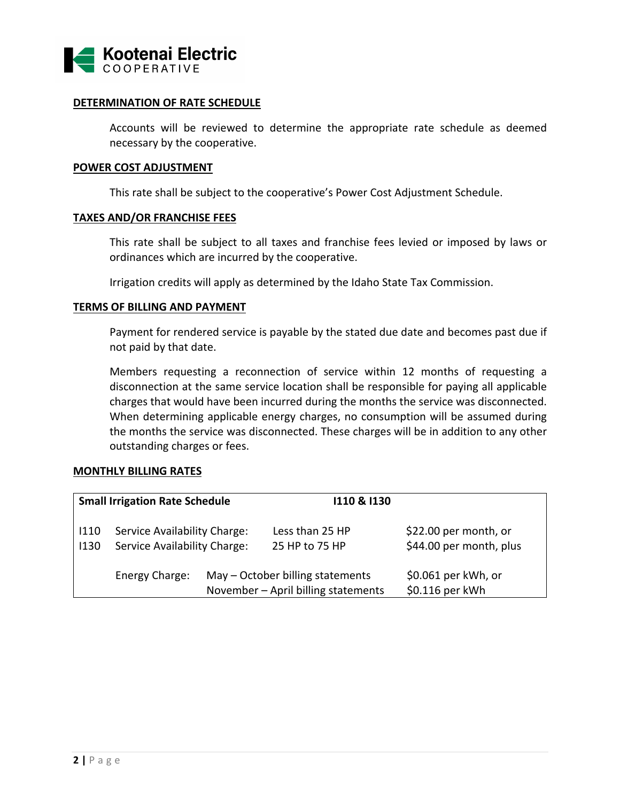

# **DETERMINATION OF RATE SCHEDULE**

Accounts will be reviewed to determine the appropriate rate schedule as deemed necessary by the cooperative.

### **POWER COST ADJUSTMENT**

This rate shall be subject to the cooperative's Power Cost Adjustment Schedule.

# **TAXES AND/OR FRANCHISE FEES**

This rate shall be subject to all taxes and franchise fees levied or imposed by laws or ordinances which are incurred by the cooperative.

Irrigation credits will apply as determined by the Idaho State Tax Commission.

### **TERMS OF BILLING AND PAYMENT**

Payment for rendered service is payable by the stated due date and becomes past due if not paid by that date.

Members requesting a reconnection of service within 12 months of requesting a disconnection at the same service location shall be responsible for paying all applicable charges that would have been incurred during the months the service was disconnected. When determining applicable energy charges, no consumption will be assumed during the months the service was disconnected. These charges will be in addition to any other outstanding charges or fees.

# **MONTHLY BILLING RATES**

| <b>Small Irrigation Rate Schedule</b> |                                                              |  | 110 & 1130                                                              |                                                  |
|---------------------------------------|--------------------------------------------------------------|--|-------------------------------------------------------------------------|--------------------------------------------------|
| 1110<br>1130                          | Service Availability Charge:<br>Service Availability Charge: |  | Less than 25 HP<br>25 HP to 75 HP                                       | \$22.00 per month, or<br>\$44.00 per month, plus |
|                                       | Energy Charge:                                               |  | May – October billing statements<br>November - April billing statements | \$0.061 per kWh, or<br>\$0.116 per kWh           |